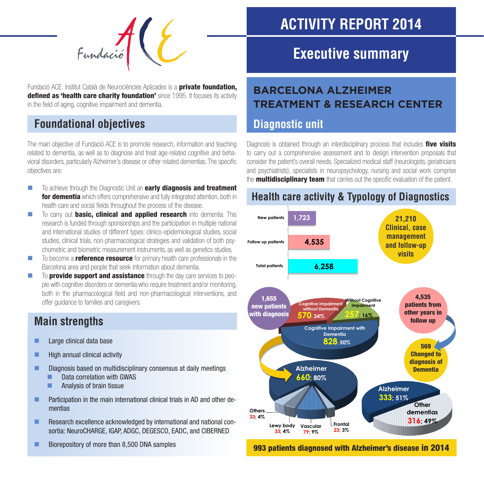

Fundació ACE. Institut Català de Neurociències Aplicades is a **private foundation,** defined as 'health care charity foundation' since 1995. It focuses its activity in the field of aging, cognitive impairment and dementia.

# **Foundational objectives**

The main objective of Fundació ACE is to promote research, information and teaching related to dementia, as well as to diagnose and treat age-related cognitive and behavioral disorders, particularly Alzheimer's disease or other related dementias. The specific objectives are:

- $\blacksquare$  To achieve through the Diagnostic Unit an **early diagnosis and treatment for dementia** which offers comprehensive and fully integrated attention, both in health care and social fields throughout the process of the disease.
- $\blacksquare$  To carry out **basic, clinical and applied research** into dementia. This research is funded through sponsorships and the participation in multiple national and international studies of different types: clinico-epidemiological studies, social studies, clinical trials, non-pharmacological strategies and validation of both psychometric and biometric measurement instruments, as well as genetics studies.
- $\blacksquare$  To become a **reference resource** for primary health care professionals in the Barcelona area and people that seek information about dementia.
- $\blacksquare$  To **provide support and assistance** through the day care services to people with cognitive disorders or dementia who require treatment and/or monitoring, both in the pharmacological field and non-pharmacological interventions, and offer guidance to families and caregivers.

# **Main strengths**

- **Large clinical data base**
- $\blacksquare$  High annual clinical activity
- **Diagnosis based on multidisciplinary consensus at daily meetings** 
	- **Data correlation with GWAS**
	- **Analysis of brain tissue**
- **Participation in the main international clinical trials in AD and other de**mentias
- **Research excellence acknowledged by international and national con**sortia: NeuroCHARGE, IGAP, ADGC, DEGESCO, EADC, and CIBERNED
- Biorepository of more than 8,500 DNA samples

# **ACTIVITY REPORT 2014**

# **Executive summary**

# **BARCELONA ALZHEIMER TREATMENT & RESEARCH CENTER**

### **Diagnostic unit**

Diagnosis is obtained through an interdisciplinary process that includes five visits to carry out a comprehensive assessment and to design intervention proposals that consider the patient's overall needs. Specialized medical staff (neurologists, geriatricians and psychiatrists), specialists in neuropsychology, nursing and social work comprise the **multidisciplinary team** that carries out the specific evaluation of the patient.

#### **Health care activity & Typology of Diagnostics**



993 patients diagnosed with Alzheimer's disease in 2014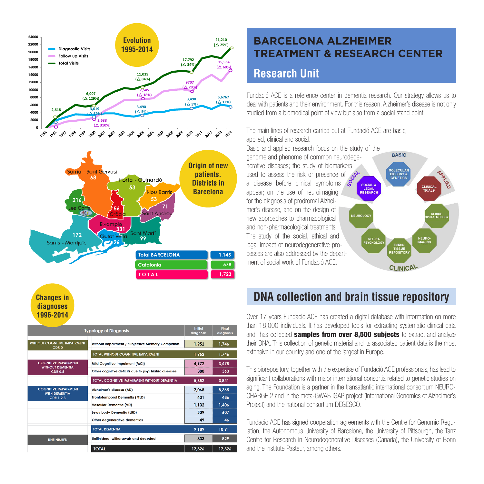

**Changes in diagnoses 1996-2014**

| <b>Typology of Diagnosis</b>                                             |                                                      | Initial<br>diagnosis | Final<br>diagnosis |
|--------------------------------------------------------------------------|------------------------------------------------------|----------------------|--------------------|
| <b>WITHOUT COGNITIVE IMPAIRMENT</b><br>CDR <sub>0</sub>                  | Without Impairment / Subiective Memory Complaints    | 1.952                | 1.746              |
|                                                                          | <b>TOTAL WITHOUT COGNITIVE IMPAIRMENT</b>            | 1.952                | 1.746              |
| <b>COGNITIVE IMPAIRMENT</b><br><b>WITHOUT DEMENTIA</b><br><b>CDR 0.5</b> | Mild Cognitive Impaiment (MCI)                       | 4.972                | 3,478              |
|                                                                          | Other cognitive deficits due to psychiatric diseases | 380                  | 363                |
|                                                                          | <b>TOTAL COGNITIVE IMPAIRMENT WITHOUT DEMENTIA</b>   | 5,352                | 3,841              |
| <b>COGNITIVE IMPAIRMENT</b><br><b>WITH DEMENTIA</b><br><b>CDR 1.2.3</b>  | Alzheimer's disease (AD)                             | 7.068                | 8,365              |
|                                                                          | Frontotemporal Dementia (FTLD)                       | 431                  | 486                |
|                                                                          | Vascular Dementia (VD)                               | 1.132                | 1.406              |
|                                                                          | Lewy body Dementia (LBD)                             | 509                  | 607                |
|                                                                          | Other degenerative dementias                         | 49                   | 46                 |
|                                                                          | <b>TOTAL DEMENTIA</b>                                | 9.189                | 10.91              |
| <b>UNFINISHED</b>                                                        | Unifinished, withdrawals and deceded                 | 833                  | 829                |
|                                                                          | <b>TOTAL</b>                                         | 17,326               | 17,326             |

#### **BARCELONA ALZHEIMER TREATMENT & RESEARCH CENTER**

#### **Research Unit**

Fundació ACE is a reference center in dementia research. Our strategy allows us to deal with patients and their environment. For this reason, Alzheimer's disease is not only studied from a biomedical point of view but also from a social stand point.

CLINICAL<br>TRIALS

The main lines of research carried out at Fundació ACE are basic, applied, clinical and social.

Basic and applied research focus on the study of the **BASIC** genome and phenome of common neurodegenerative diseases; the study of biomarkers **MOLECULAR**<br>BIOLOGY &<br>GENETICS used to assess the risk or presence of a disease before clinical symptoms LEGAL<br>RESEARC appear; on the use of neuroimaging for the diagnosis of prodromal Alzheimer's disease, and on the design of **IEUROLOG** new approaches to pharmacological and non-pharmacological treatments. The study of the social, ethical and legal impact of neurodegenerative processes are also addressed by the department of social work of Fundació ACE. **CLINICAL** 

# **DNA collection and brain tissue repository**

Over 17 years Fundació ACE has created a digital database with information on more than 18,000 individuals. It has developed tools for extracting systematic clinical data and has collected **samples from over 8,500 subjects** to extract and analyze their DNA. This collection of genetic material and its associated patient data is the most extensive in our country and one of the largest in Europe.

This biorepository, together with the expertise of Fundació ACE professionals, has lead to significant collaborations with major international consortia related to genetic studies on aging. The Foundation is a partner in the transatlantic international consortium NEURO-CHARGE 2 and in the meta-GWAS IGAP project (International Genomics of Alzheimer's Project) and the national consortium DEGESCO.

Fundació ACE has signed cooperation agreements with the Centre for Genomic Regulation, the Autonomous University of Barcelona, the University of Pittsburgh, the Tanz Centre for Research in Neurodegenerative Diseases (Canada), the University of Bonn and the Institute Pasteur, among others.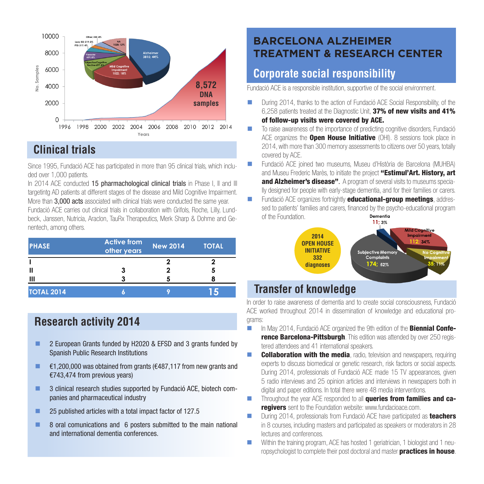

# **Clinical trials**

Since 1995, Fundació ACE has participated in more than 95 clinical trials, which included over 1,000 patients.

In 2014 ACE conducted 15 pharmachological clinical trials in Phase I, II and III targetintg AD patients at different stages of the disease and Mild Cognitive Impairment. More than 3,000 acts associated with clinical trials were conducted the same year. Fundació ACE carries out clinical trials in collaboration with Grifols, Roche, Lilly, Lundbeck, Janssen, Nutricia, Araclon, TauRx Therapeutics, Merk Sharp & Dohme and Genentech, among others.

| <b>PHASE</b>      | <b>Active from</b><br>other years | <b>New 2014</b> | <b>TOTAL</b> |
|-------------------|-----------------------------------|-----------------|--------------|
|                   |                                   |                 |              |
| Ш                 |                                   |                 |              |
| Ш                 |                                   |                 |              |
| <b>TOTAL 2014</b> | г                                 |                 |              |

#### **Research activity 2014**

- 2 European Grants funded by H2020 & EFSD and 3 grants funded by Spanish Public Research Institutions
- $€1,200,000$  was obtained from grants (€487,117 from new grants and €743,474 from previous years)
- 3 clinical research studies supported by Fundació ACE, biotech companies and pharmaceutical industry
- 25 published articles with a total impact factor of 127.5
- 8 oral comunications and 6 posters submitted to the main national and international dementia conferences.

# **BARCELONA ALZHEIMER TREATMENT & RESEARCH CENTER**

# **Corporate social responsibility**

Fundació ACE is a responsible institution, supportive of the social environment.

- **During 2014, thanks to the action of Fundació ACE Social Responsibility, of the** 6,258 patients treated at the Diagnostic Unit, 37% of new visits and 41% of follow-up visits were covered by ACE.
- To raise awareness of the importance of predicting cognitive disorders, Fundació ACE organizes the **Open House Initiative** (OHI). 8 sessions took place in 2014, with more than 300 memory assessments to citizens over 50 years, totally covered by ACE.
- Fundació ACE joined two museums, Museu d'Història de Barcelona (MUHBA) and Museu Frederic Marès, to initiate the project "Estimul'Art. History, art and Alzheimer's disease". A program of several visits to museums specially designed for people with early-stage dementia, and for their families or carers.
- **Fundació ACF organizes fortnightly educational-group meetings**, addressed to patients' families and carers, financed by the psycho-educational program<br> **Compation** of the Foundation.



# **Transfer of knowledge**

In order to raise awareness of dementia and to create social consciousness, Fundació ACE worked throughout 2014 in dissemination of knowledge and educational programs:

- In May 2014, Fundació ACF organized the 9th edition of the **Biennial Conference Barcelona-Pittsburgh**. This edition was attended by over 250 registered attendees and 41 international speakers.
- **Collaboration with the media**, radio, television and newspapers, requiring experts to discuss biomedical or genetic research, risk factors or social aspects. During 2014, professionals of Fundació ACE made 15 TV appearances, given 5 radio interviews and 25 opinion articles and interviews in newspapers both in digital and paper editions. In total there were 48 media interventions.
- **Throughout the year ACE responded to all queries from families and caregivers** sent to the Foundation website: www.fundacioace.com.
- During 2014, professionals from Fundació ACE have participated as **teachers** in 8 courses, including masters and participated as speakers or moderators in 28 lectures and conferences.
- Within the training program, ACE has hosted 1 geriatrician, 1 biologist and 1 neuropsychologist to complete their post doctoral and master **practices in house**.